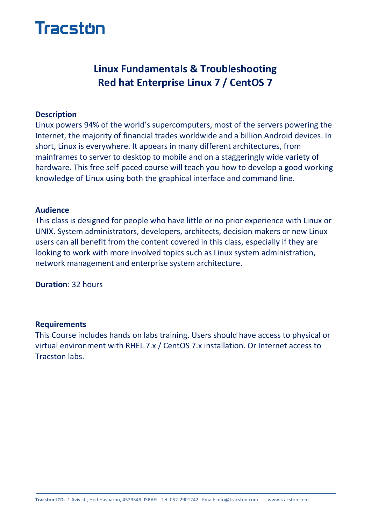

# **Linux Fundamentals & Troubleshooting Red hat Enterprise Linux 7 / CentOS 7**

#### **Description**

Linux powers 94% of the world's supercomputers, most of the servers powering the Internet, the majority of financial trades worldwide and a billion Android devices. In short, Linux is everywhere. It appears in many different architectures, from mainframes to server to desktop to mobile and on a staggeringly wide variety of hardware. This free self-paced course will teach you how to develop a good working knowledge of Linux using both the graphical interface and command line.

#### **Audience**

This class is designed for people who have little or no prior experience with Linux or UNIX. System administrators, developers, architects, decision makers or new Linux users can all benefit from the content covered in this class, especially if they are looking to work with more involved topics such as Linux system administration, network management and enterprise system architecture.

**Duration**: 32 hours

#### **Requirements**

This Course includes hands on labs training. Users should have access to physical or virtual environment with RHEL 7.x / CentOS 7.x installation. Or Internet access to Tracston labs.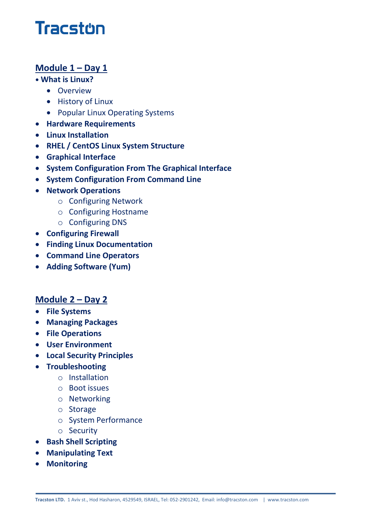# **Tracston**

# **Module 1 – Day 1**

#### **• What is Linux?**

- **•** Overview
- History of Linux
- Popular Linux Operating Systems
- **Hardware Requirements**
- **Linux Installation**
- **RHEL / CentOS Linux System Structure**
- **Graphical Interface**
- **System Configuration From The Graphical Interface**
- **System Configuration From Command Line**
- **Network Operations**
	- o Configuring Network
	- o Configuring Hostname
	- o Configuring DNS
- **Configuring Firewall**
- **Finding Linux Documentation**
- **Command Line Operators**
- **Adding Software (Yum)**

### **Module 2 – Day 2**

- **File Systems**
- **Managing Packages**
- **File Operations**
- **User Environment**
- **Local Security Principles**
- **•** Troubleshooting
	- o Installation
	- o Boot issues
	- o Networking
	- o Storage
	- o System Performance
	- o Security
- **•** Bash Shell Scripting
- **Manipulating Text**
- **Monitoring**